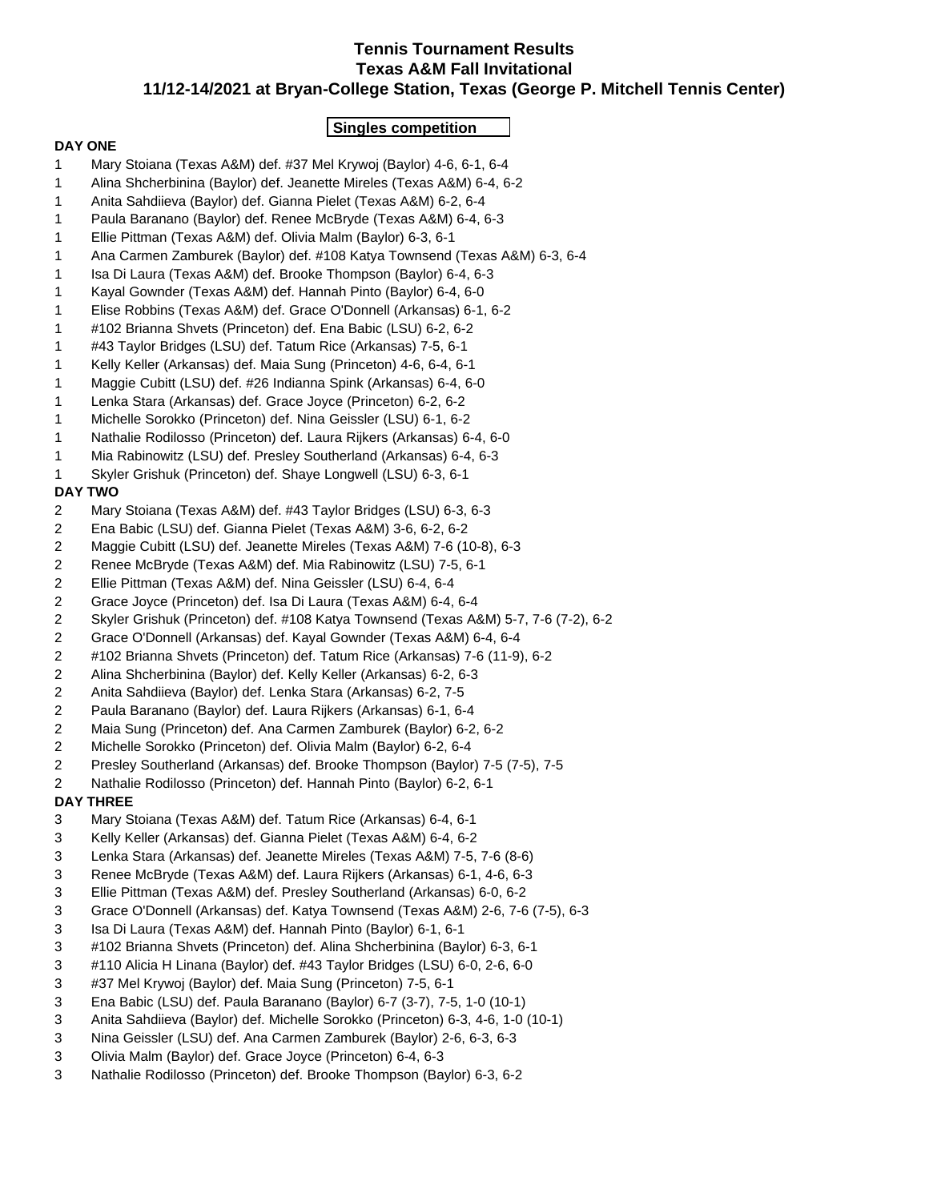## **Tennis Tournament Results Texas A&M Fall Invitational 11/12-14/2021 at Bryan-College Station, Texas (George P. Mitchell Tennis Center)**

### **Singles competition**

#### **DAY ONE**

- 1 Mary Stoiana (Texas A&M) def. #37 Mel Krywoj (Baylor) 4-6, 6-1, 6-4
- 1 Alina Shcherbinina (Baylor) def. Jeanette Mireles (Texas A&M) 6-4, 6-2
- 1 Anita Sahdiieva (Baylor) def. Gianna Pielet (Texas A&M) 6-2, 6-4
- 1 Paula Baranano (Baylor) def. Renee McBryde (Texas A&M) 6-4, 6-3
- 1 Ellie Pittman (Texas A&M) def. Olivia Malm (Baylor) 6-3, 6-1
- 1 Ana Carmen Zamburek (Baylor) def. #108 Katya Townsend (Texas A&M) 6-3, 6-4
- 1 Isa Di Laura (Texas A&M) def. Brooke Thompson (Baylor) 6-4, 6-3
- 1 Kayal Gownder (Texas A&M) def. Hannah Pinto (Baylor) 6-4, 6-0
- 1 Elise Robbins (Texas A&M) def. Grace O'Donnell (Arkansas) 6-1, 6-2
- 1 #102 Brianna Shvets (Princeton) def. Ena Babic (LSU) 6-2, 6-2
- 1 #43 Taylor Bridges (LSU) def. Tatum Rice (Arkansas) 7-5, 6-1
- 1 Kelly Keller (Arkansas) def. Maia Sung (Princeton) 4-6, 6-4, 6-1
- 1 Maggie Cubitt (LSU) def. #26 Indianna Spink (Arkansas) 6-4, 6-0
- 1 Lenka Stara (Arkansas) def. Grace Joyce (Princeton) 6-2, 6-2
- 1 Michelle Sorokko (Princeton) def. Nina Geissler (LSU) 6-1, 6-2
- 1 Nathalie Rodilosso (Princeton) def. Laura Rijkers (Arkansas) 6-4, 6-0
- 1 Mia Rabinowitz (LSU) def. Presley Southerland (Arkansas) 6-4, 6-3
- 1 Skyler Grishuk (Princeton) def. Shaye Longwell (LSU) 6-3, 6-1

### **DAY TWO**

- 2 Mary Stoiana (Texas A&M) def. #43 Taylor Bridges (LSU) 6-3, 6-3
- 2 Ena Babic (LSU) def. Gianna Pielet (Texas A&M) 3-6, 6-2, 6-2
- 2 Maggie Cubitt (LSU) def. Jeanette Mireles (Texas A&M) 7-6 (10-8), 6-3
- 2 Renee McBryde (Texas A&M) def. Mia Rabinowitz (LSU) 7-5, 6-1
- 2 Ellie Pittman (Texas A&M) def. Nina Geissler (LSU) 6-4, 6-4
- 2 Grace Joyce (Princeton) def. Isa Di Laura (Texas A&M) 6-4, 6-4
- 2 Skyler Grishuk (Princeton) def. #108 Katya Townsend (Texas A&M) 5-7, 7-6 (7-2), 6-2
- 2 Grace O'Donnell (Arkansas) def. Kayal Gownder (Texas A&M) 6-4, 6-4
- 2 #102 Brianna Shvets (Princeton) def. Tatum Rice (Arkansas) 7-6 (11-9), 6-2
- 2 Alina Shcherbinina (Baylor) def. Kelly Keller (Arkansas) 6-2, 6-3
- 2 Anita Sahdiieva (Baylor) def. Lenka Stara (Arkansas) 6-2, 7-5
- 2 Paula Baranano (Baylor) def. Laura Rijkers (Arkansas) 6-1, 6-4
- 2 Maia Sung (Princeton) def. Ana Carmen Zamburek (Baylor) 6-2, 6-2
- 2 Michelle Sorokko (Princeton) def. Olivia Malm (Baylor) 6-2, 6-4
- 2 Presley Southerland (Arkansas) def. Brooke Thompson (Baylor) 7-5 (7-5), 7-5
- 2 Nathalie Rodilosso (Princeton) def. Hannah Pinto (Baylor) 6-2, 6-1

### **DAY THREE**

- 3 Mary Stoiana (Texas A&M) def. Tatum Rice (Arkansas) 6-4, 6-1
- 3 Kelly Keller (Arkansas) def. Gianna Pielet (Texas A&M) 6-4, 6-2
- 3 Lenka Stara (Arkansas) def. Jeanette Mireles (Texas A&M) 7-5, 7-6 (8-6)
- 3 Renee McBryde (Texas A&M) def. Laura Rijkers (Arkansas) 6-1, 4-6, 6-3
- 3 Ellie Pittman (Texas A&M) def. Presley Southerland (Arkansas) 6-0, 6-2
- 3 Grace O'Donnell (Arkansas) def. Katya Townsend (Texas A&M) 2-6, 7-6 (7-5), 6-3
- 3 Isa Di Laura (Texas A&M) def. Hannah Pinto (Baylor) 6-1, 6-1
- 3 #102 Brianna Shvets (Princeton) def. Alina Shcherbinina (Baylor) 6-3, 6-1
- 3 #110 Alicia H Linana (Baylor) def. #43 Taylor Bridges (LSU) 6-0, 2-6, 6-0
- 3 #37 Mel Krywoj (Baylor) def. Maia Sung (Princeton) 7-5, 6-1
- 3 Ena Babic (LSU) def. Paula Baranano (Baylor) 6-7 (3-7), 7-5, 1-0 (10-1)
- 3 Anita Sahdiieva (Baylor) def. Michelle Sorokko (Princeton) 6-3, 4-6, 1-0 (10-1)
- 3 Nina Geissler (LSU) def. Ana Carmen Zamburek (Baylor) 2-6, 6-3, 6-3
- 3 Olivia Malm (Baylor) def. Grace Joyce (Princeton) 6-4, 6-3
- 3 Nathalie Rodilosso (Princeton) def. Brooke Thompson (Baylor) 6-3, 6-2